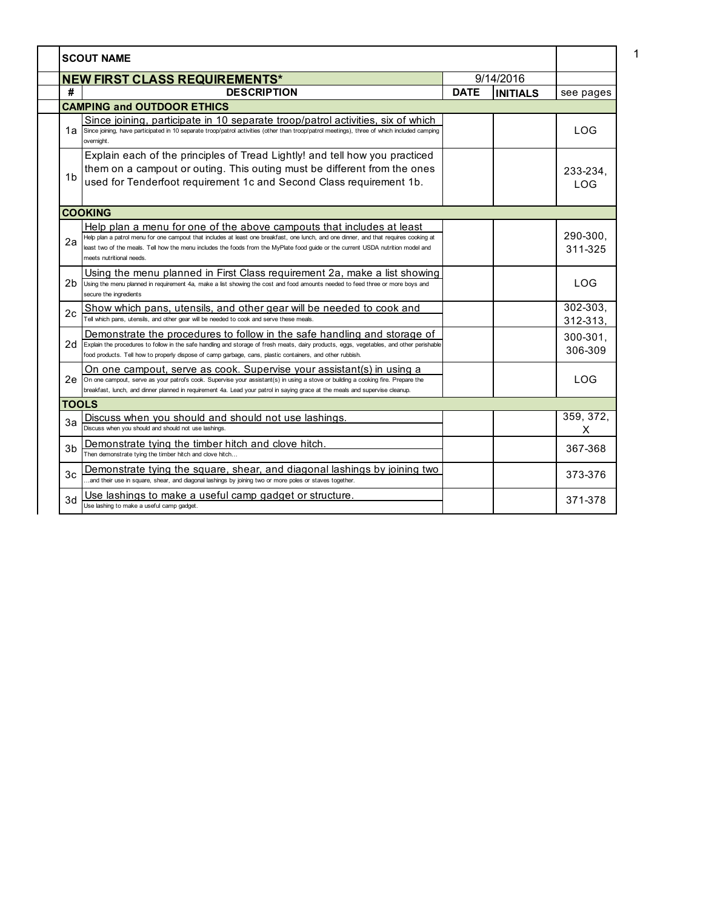|                | <b>SCOUT NAME</b>                                                                                                                                                                                                                                                                                                                                                              |             |                 |                          |
|----------------|--------------------------------------------------------------------------------------------------------------------------------------------------------------------------------------------------------------------------------------------------------------------------------------------------------------------------------------------------------------------------------|-------------|-----------------|--------------------------|
|                | <b>NEW FIRST CLASS REQUIREMENTS*</b>                                                                                                                                                                                                                                                                                                                                           |             | 9/14/2016       |                          |
| #              | <b>DESCRIPTION</b>                                                                                                                                                                                                                                                                                                                                                             | <b>DATE</b> | <b>INITIALS</b> | see pages                |
|                | <b>CAMPING and OUTDOOR ETHICS</b>                                                                                                                                                                                                                                                                                                                                              |             |                 |                          |
| 1a             | Since joining, participate in 10 separate troop/patrol activities, six of which<br>Since joining, have participated in 10 separate troop/patrol activities (other than troop/patrol meetings), three of which included camping<br>overnight.                                                                                                                                   |             |                 | <b>LOG</b>               |
| 1 <sub>b</sub> | Explain each of the principles of Tread Lightly! and tell how you practiced<br>them on a campout or outing. This outing must be different from the ones<br>used for Tenderfoot requirement 1c and Second Class requirement 1b.                                                                                                                                                 |             |                 | 233-234.<br><b>LOG</b>   |
|                | <b>COOKING</b>                                                                                                                                                                                                                                                                                                                                                                 |             |                 |                          |
| 2a             | Help plan a menu for one of the above campouts that includes at least<br>Help plan a patrol menu for one campout that includes at least one breakfast, one lunch, and one dinner, and that requires cooking at<br>least two of the meals. Tell how the menu includes the foods from the MyPlate food guide or the current USDA nutrition model and<br>meets nutritional needs. |             |                 | 290-300,<br>311-325      |
| 2b.            | Using the menu planned in First Class requirement 2a, make a list showing<br>Using the menu planned in requirement 4a, make a list showing the cost and food amounts needed to feed three or more boys and<br>secure the ingredients                                                                                                                                           |             |                 | <b>LOG</b>               |
| 2c             | Show which pans, utensils, and other gear will be needed to cook and<br>Tell which pans, utensils, and other gear will be needed to cook and serve these meals.                                                                                                                                                                                                                |             |                 | $302 - 303,$<br>312-313. |
|                | Demonstrate the procedures to follow in the safe handling and storage of<br>$2d$ Explain the procedures to follow in the safe handling and storage of fresh meats, dairy products, eggs, vegetables, and other perishable<br>food products. Tell how to properly dispose of camp garbage, cans, plastic containers, and other rubbish.                                         |             |                 | 300-301,<br>306-309      |
| 2e             | On one campout, serve as cook. Supervise your assistant(s) in using a<br>On one campout, serve as your patrol's cook. Supervise your assistant(s) in using a stove or building a cooking fire. Prepare the<br>breakfast, lunch, and dinner planned in requirement 4a. Lead your patrol in saying grace at the meals and supervise cleanup.                                     |             |                 | <b>LOG</b>               |
| <b>TOOLS</b>   |                                                                                                                                                                                                                                                                                                                                                                                |             |                 |                          |
| 3a             | Discuss when you should and should not use lashings.<br>Discuss when you should and should not use lashings.                                                                                                                                                                                                                                                                   |             |                 | 359, 372,<br>X           |
| 3 <sub>b</sub> | Demonstrate tying the timber hitch and clove hitch.<br>Then demonstrate tying the timber hitch and clove hitch                                                                                                                                                                                                                                                                 |             |                 | 367-368                  |
| 3 <sub>c</sub> | Demonstrate tying the square, shear, and diagonal lashings by joining two<br>.and their use in square, shear, and diagonal lashings by joining two or more poles or staves together.                                                                                                                                                                                           |             |                 | 373-376                  |
| 3d             | Use lashings to make a useful camp gadget or structure.<br>Use lashing to make a useful camp gadget.                                                                                                                                                                                                                                                                           |             |                 | 371-378                  |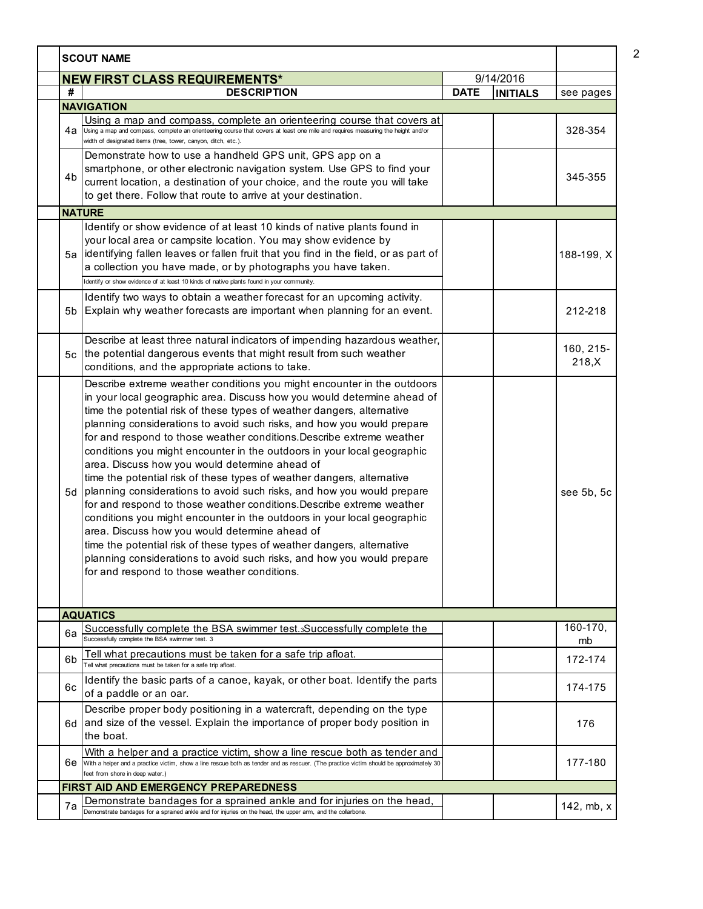| <b>NEW FIRST CLASS REQUIREMENTS*</b><br>#<br><b>DESCRIPTION</b><br><b>NAVIGATION</b><br>Using a map and compass, complete an orienteering course that covers at<br>4a<br>Using a map and compass, complete an orienteering course that covers at least one mile and requires measuring the height and/or<br>width of designated items (tree, tower, canyon, ditch, etc.).<br>Demonstrate how to use a handheld GPS unit, GPS app on a<br>smartphone, or other electronic navigation system. Use GPS to find your<br>4b<br>current location, a destination of your choice, and the route you will take<br>to get there. Follow that route to arrive at your destination.<br><b>NATURE</b><br>Identify or show evidence of at least 10 kinds of native plants found in                                                                                                                                                                                                                                                                                                             | 9/14/2016<br><b>DATE</b><br><b>INITIALS</b> | see pages<br>328-354<br>345-355 |
|----------------------------------------------------------------------------------------------------------------------------------------------------------------------------------------------------------------------------------------------------------------------------------------------------------------------------------------------------------------------------------------------------------------------------------------------------------------------------------------------------------------------------------------------------------------------------------------------------------------------------------------------------------------------------------------------------------------------------------------------------------------------------------------------------------------------------------------------------------------------------------------------------------------------------------------------------------------------------------------------------------------------------------------------------------------------------------|---------------------------------------------|---------------------------------|
|                                                                                                                                                                                                                                                                                                                                                                                                                                                                                                                                                                                                                                                                                                                                                                                                                                                                                                                                                                                                                                                                                  |                                             |                                 |
|                                                                                                                                                                                                                                                                                                                                                                                                                                                                                                                                                                                                                                                                                                                                                                                                                                                                                                                                                                                                                                                                                  |                                             |                                 |
|                                                                                                                                                                                                                                                                                                                                                                                                                                                                                                                                                                                                                                                                                                                                                                                                                                                                                                                                                                                                                                                                                  |                                             |                                 |
|                                                                                                                                                                                                                                                                                                                                                                                                                                                                                                                                                                                                                                                                                                                                                                                                                                                                                                                                                                                                                                                                                  |                                             |                                 |
|                                                                                                                                                                                                                                                                                                                                                                                                                                                                                                                                                                                                                                                                                                                                                                                                                                                                                                                                                                                                                                                                                  |                                             |                                 |
| your local area or campsite location. You may show evidence by<br>identifying fallen leaves or fallen fruit that you find in the field, or as part of<br>5a<br>a collection you have made, or by photographs you have taken.<br>Identify or show evidence of at least 10 kinds of native plants found in your community.                                                                                                                                                                                                                                                                                                                                                                                                                                                                                                                                                                                                                                                                                                                                                         |                                             | 188-199, X                      |
| Identify two ways to obtain a weather forecast for an upcoming activity.                                                                                                                                                                                                                                                                                                                                                                                                                                                                                                                                                                                                                                                                                                                                                                                                                                                                                                                                                                                                         |                                             |                                 |
| Explain why weather forecasts are important when planning for an event.<br>5b                                                                                                                                                                                                                                                                                                                                                                                                                                                                                                                                                                                                                                                                                                                                                                                                                                                                                                                                                                                                    |                                             | 212-218                         |
| Describe at least three natural indicators of impending hazardous weather,<br>the potential dangerous events that might result from such weather<br>5с<br>conditions, and the appropriate actions to take.                                                                                                                                                                                                                                                                                                                                                                                                                                                                                                                                                                                                                                                                                                                                                                                                                                                                       |                                             | 160, 215-<br>218,X              |
| Describe extreme weather conditions you might encounter in the outdoors<br>in your local geographic area. Discuss how you would determine ahead of<br>time the potential risk of these types of weather dangers, alternative<br>planning considerations to avoid such risks, and how you would prepare<br>for and respond to those weather conditions. Describe extreme weather<br>conditions you might encounter in the outdoors in your local geographic<br>area. Discuss how you would determine ahead of<br>time the potential risk of these types of weather dangers, alternative<br>planning considerations to avoid such risks, and how you would prepare<br>5d<br>for and respond to those weather conditions. Describe extreme weather<br>conditions you might encounter in the outdoors in your local geographic<br>area. Discuss how you would determine ahead of<br>time the potential risk of these types of weather dangers, alternative<br>planning considerations to avoid such risks, and how you would prepare<br>for and respond to those weather conditions. |                                             | see 5b, 5c                      |
| <b>AQUATICS</b>                                                                                                                                                                                                                                                                                                                                                                                                                                                                                                                                                                                                                                                                                                                                                                                                                                                                                                                                                                                                                                                                  |                                             |                                 |
| Successfully complete the BSA swimmer test.3Successfully complete the<br>6a<br>Successfully complete the BSA swimmer test. 3                                                                                                                                                                                                                                                                                                                                                                                                                                                                                                                                                                                                                                                                                                                                                                                                                                                                                                                                                     |                                             | $160 - 170$<br>mb               |
| <u>Tell what precautions must be taken for a safe trip afloat.</u><br>6b<br>Fell what precautions must be taken for a safe trip afloat.                                                                                                                                                                                                                                                                                                                                                                                                                                                                                                                                                                                                                                                                                                                                                                                                                                                                                                                                          |                                             | 172-174                         |
| Identify the basic parts of a canoe, kayak, or other boat. Identify the parts<br>6с<br>of a paddle or an oar.                                                                                                                                                                                                                                                                                                                                                                                                                                                                                                                                                                                                                                                                                                                                                                                                                                                                                                                                                                    |                                             | 174-175                         |
| Describe proper body positioning in a watercraft, depending on the type<br>and size of the vessel. Explain the importance of proper body position in<br>6d<br>the boat.                                                                                                                                                                                                                                                                                                                                                                                                                                                                                                                                                                                                                                                                                                                                                                                                                                                                                                          |                                             | 176                             |
| With a helper and a practice victim, show a line rescue both as tender and<br>With a helper and a practice victim, show a line rescue both as tender and as rescuer. (The practice victim should be approximately 30<br>6е<br>feet from shore in deep water.)                                                                                                                                                                                                                                                                                                                                                                                                                                                                                                                                                                                                                                                                                                                                                                                                                    |                                             | 177-180                         |
| FIRST AID AND EMERGENCY PREPAREDNESS                                                                                                                                                                                                                                                                                                                                                                                                                                                                                                                                                                                                                                                                                                                                                                                                                                                                                                                                                                                                                                             |                                             |                                 |
| Demonstrate bandages for a sprained ankle and for injuries on the head, bemonstrate bandages for a sprained ankle and for injuries on the head,<br>7a                                                                                                                                                                                                                                                                                                                                                                                                                                                                                                                                                                                                                                                                                                                                                                                                                                                                                                                            |                                             | 142, mb, x                      |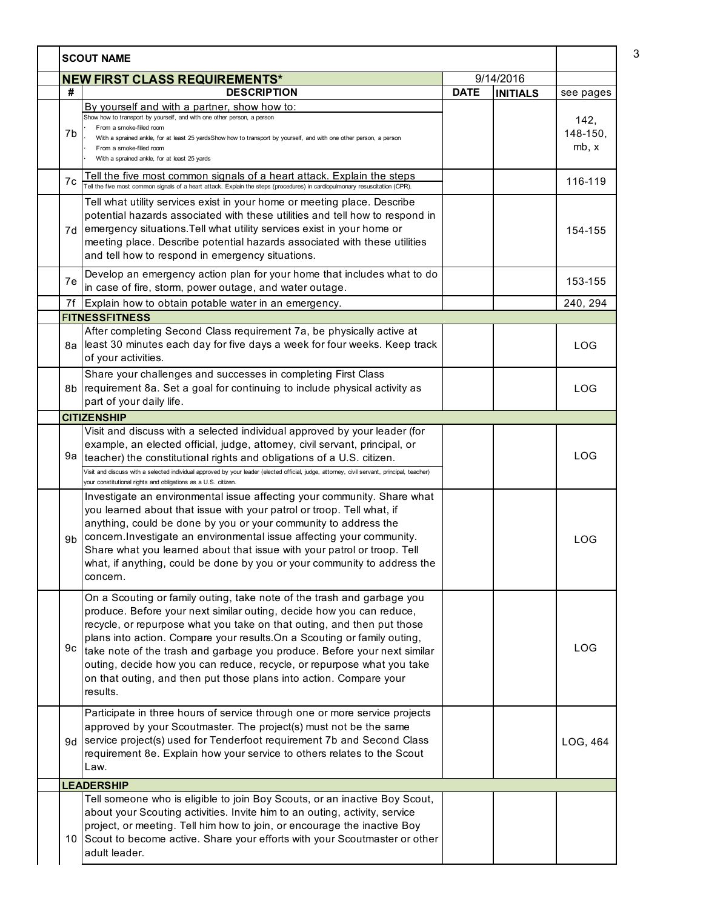| <b>SCOUT NAME</b> |                                                                                                                                                                                                                                                                                                                                                                                                                                                                                                                                              |             |                 |                                |
|-------------------|----------------------------------------------------------------------------------------------------------------------------------------------------------------------------------------------------------------------------------------------------------------------------------------------------------------------------------------------------------------------------------------------------------------------------------------------------------------------------------------------------------------------------------------------|-------------|-----------------|--------------------------------|
|                   | 9/14/2016<br><b>NEW FIRST CLASS REQUIREMENTS*</b>                                                                                                                                                                                                                                                                                                                                                                                                                                                                                            |             |                 |                                |
| #                 | <b>DESCRIPTION</b>                                                                                                                                                                                                                                                                                                                                                                                                                                                                                                                           | <b>DATE</b> | <b>INITIALS</b> | see pages                      |
| 7b                | By yourself and with a partner, show how to:<br>Show how to transport by yourself, and with one other person, a person<br>From a smoke-filled room<br>With a sprained ankle, for at least 25 yardsShow how to transport by yourself, and with one other person, a person<br>From a smoke-filled room<br>With a sprained ankle, for at least 25 yards                                                                                                                                                                                         |             |                 | 142,<br>$148 - 150$ ,<br>mb, x |
| 7c                | <u>Tell the five most common signals of a heart attack. Explain the steps</u><br>Tell the five most common signals of a heart attack. Explain the steps (procedures) in cardiopulmonary resuscitation (CPR).                                                                                                                                                                                                                                                                                                                                 |             |                 | 116-119                        |
|                   | Tell what utility services exist in your home or meeting place. Describe<br>potential hazards associated with these utilities and tell how to respond in<br>7d emergency situations. Tell what utility services exist in your home or<br>meeting place. Describe potential hazards associated with these utilities<br>and tell how to respond in emergency situations.                                                                                                                                                                       |             |                 | 154-155                        |
| 7e                | Develop an emergency action plan for your home that includes what to do<br>in case of fire, storm, power outage, and water outage.                                                                                                                                                                                                                                                                                                                                                                                                           |             |                 | 153-155                        |
| 7f                | Explain how to obtain potable water in an emergency.                                                                                                                                                                                                                                                                                                                                                                                                                                                                                         |             |                 | 240, 294                       |
|                   | <b>FITNESSFITNESS</b>                                                                                                                                                                                                                                                                                                                                                                                                                                                                                                                        |             |                 |                                |
|                   | After completing Second Class requirement 7a, be physically active at<br>8a least 30 minutes each day for five days a week for four weeks. Keep track<br>of your activities.                                                                                                                                                                                                                                                                                                                                                                 |             |                 | LOG                            |
|                   | Share your challenges and successes in completing First Class<br>8b requirement 8a. Set a goal for continuing to include physical activity as<br>part of your daily life.                                                                                                                                                                                                                                                                                                                                                                    |             |                 | LOG                            |
|                   | <b>CITIZENSHIP</b>                                                                                                                                                                                                                                                                                                                                                                                                                                                                                                                           |             |                 |                                |
| 9a                | Visit and discuss with a selected individual approved by your leader (for<br>example, an elected official, judge, attorney, civil servant, principal, or<br>teacher) the constitutional rights and obligations of a U.S. citizen.<br>Visit and discuss with a selected individual approved by your leader (elected official, judge, attorney, civil servant, principal, teacher)                                                                                                                                                             |             |                 | <b>LOG</b>                     |
| 9b                | your constitutional rights and obligations as a U.S. citizen.<br>Investigate an environmental issue affecting your community. Share what<br>you learned about that issue with your patrol or troop. Tell what, if<br>anything, could be done by you or your community to address the<br>concern. Investigate an environmental issue affecting your community.<br>Share what you learned about that issue with your patrol or troop. Tell<br>what, if anything, could be done by you or your community to address the<br>concern.             |             |                 | <b>LOG</b>                     |
| 9c                | On a Scouting or family outing, take note of the trash and garbage you<br>produce. Before your next similar outing, decide how you can reduce,<br>recycle, or repurpose what you take on that outing, and then put those<br>plans into action. Compare your results. On a Scouting or family outing,<br>take note of the trash and garbage you produce. Before your next similar<br>outing, decide how you can reduce, recycle, or repurpose what you take<br>on that outing, and then put those plans into action. Compare your<br>results. |             |                 | <b>LOG</b>                     |
|                   | Participate in three hours of service through one or more service projects<br>approved by your Scoutmaster. The project(s) must not be the same<br>9d Service project(s) used for Tenderfoot requirement 7b and Second Class<br>requirement 8e. Explain how your service to others relates to the Scout<br>Law.                                                                                                                                                                                                                              |             |                 | LOG, 464                       |
|                   | <b>LEADERSHIP</b>                                                                                                                                                                                                                                                                                                                                                                                                                                                                                                                            |             |                 |                                |
|                   | Tell someone who is eligible to join Boy Scouts, or an inactive Boy Scout,<br>about your Scouting activities. Invite him to an outing, activity, service<br>project, or meeting. Tell him how to join, or encourage the inactive Boy<br>10 Scout to become active. Share your efforts with your Scoutmaster or other<br>adult leader.                                                                                                                                                                                                        |             |                 |                                |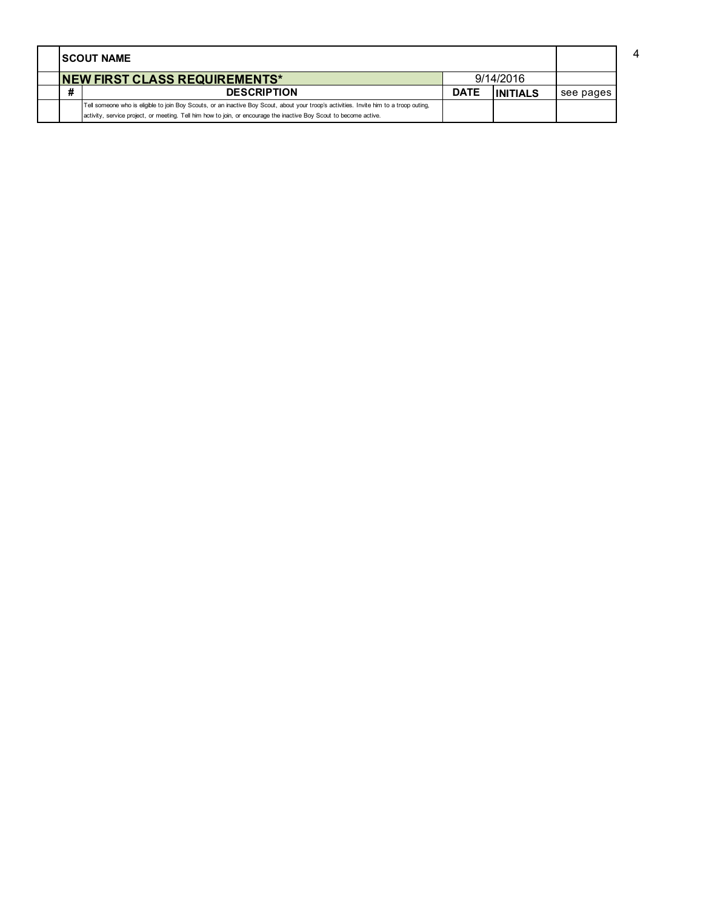|   | <b>ISCOUT NAME</b>                                                                                                                      |             |                 |           |  |
|---|-----------------------------------------------------------------------------------------------------------------------------------------|-------------|-----------------|-----------|--|
|   | 9/14/2016<br><b>NEW FIRST CLASS REQUIREMENTS*</b>                                                                                       |             |                 |           |  |
| # | <b>DESCRIPTION</b>                                                                                                                      | <b>DATE</b> | <b>INITIALS</b> | see pages |  |
|   | Tell someone who is eligible to join Boy Scouts, or an inactive Boy Scout, about your troop's activities. Invite him to a troop outing, |             |                 |           |  |
|   | activity, service project, or meeting. Tell him how to join, or encourage the inactive Boy Scout to become active.                      |             |                 |           |  |